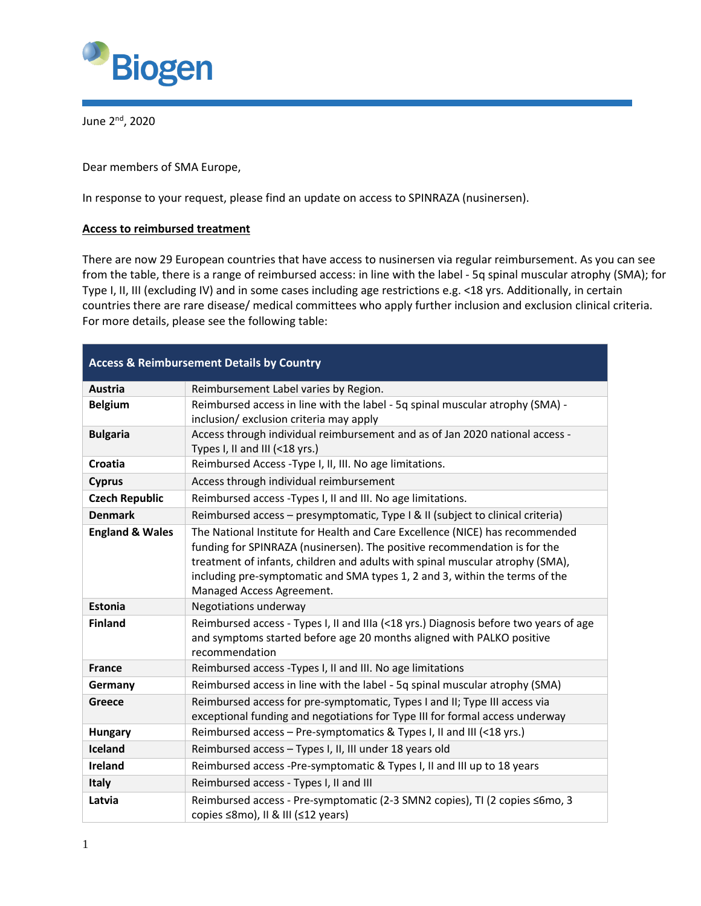

June 2nd, 2020

Dear members of SMA Europe,

In response to your request, please find an update on access to SPINRAZA (nusinersen).

## **Access to reimbursed treatment**

There are now 29 European countries that have access to nusinersen via regular reimbursement. As you can see from the table, there is a range of reimbursed access: in line with the label - 5q spinal muscular atrophy (SMA); for Type I, II, III (excluding IV) and in some cases including age restrictions e.g. <18 yrs. Additionally, in certain countries there are rare disease/ medical committees who apply further inclusion and exclusion clinical criteria. For more details, please see the following table:

| <b>Access &amp; Reimbursement Details by Country</b> |                                                                                                                                                                                                                                                                                                                                                        |  |
|------------------------------------------------------|--------------------------------------------------------------------------------------------------------------------------------------------------------------------------------------------------------------------------------------------------------------------------------------------------------------------------------------------------------|--|
| Austria                                              | Reimbursement Label varies by Region.                                                                                                                                                                                                                                                                                                                  |  |
| <b>Belgium</b>                                       | Reimbursed access in line with the label - 5q spinal muscular atrophy (SMA) -<br>inclusion/ exclusion criteria may apply                                                                                                                                                                                                                               |  |
| <b>Bulgaria</b>                                      | Access through individual reimbursement and as of Jan 2020 national access -<br>Types I, II and III (<18 yrs.)                                                                                                                                                                                                                                         |  |
| Croatia                                              | Reimbursed Access - Type I, II, III. No age limitations.                                                                                                                                                                                                                                                                                               |  |
| <b>Cyprus</b>                                        | Access through individual reimbursement                                                                                                                                                                                                                                                                                                                |  |
| <b>Czech Republic</b>                                | Reimbursed access - Types I, II and III. No age limitations.                                                                                                                                                                                                                                                                                           |  |
| <b>Denmark</b>                                       | Reimbursed access - presymptomatic, Type I & II (subject to clinical criteria)                                                                                                                                                                                                                                                                         |  |
| <b>England &amp; Wales</b>                           | The National Institute for Health and Care Excellence (NICE) has recommended<br>funding for SPINRAZA (nusinersen). The positive recommendation is for the<br>treatment of infants, children and adults with spinal muscular atrophy (SMA),<br>including pre-symptomatic and SMA types 1, 2 and 3, within the terms of the<br>Managed Access Agreement. |  |
| <b>Estonia</b>                                       | Negotiations underway                                                                                                                                                                                                                                                                                                                                  |  |
| <b>Finland</b>                                       | Reimbursed access - Types I, II and IIIa (<18 yrs.) Diagnosis before two years of age<br>and symptoms started before age 20 months aligned with PALKO positive<br>recommendation                                                                                                                                                                       |  |
| <b>France</b>                                        | Reimbursed access - Types I, II and III. No age limitations                                                                                                                                                                                                                                                                                            |  |
| Germany                                              | Reimbursed access in line with the label - 5q spinal muscular atrophy (SMA)                                                                                                                                                                                                                                                                            |  |
| Greece                                               | Reimbursed access for pre-symptomatic, Types I and II; Type III access via<br>exceptional funding and negotiations for Type III for formal access underway                                                                                                                                                                                             |  |
| Hungary                                              | Reimbursed access - Pre-symptomatics & Types I, II and III (<18 yrs.)                                                                                                                                                                                                                                                                                  |  |
| Iceland                                              | Reimbursed access - Types I, II, III under 18 years old                                                                                                                                                                                                                                                                                                |  |
| <b>Ireland</b>                                       | Reimbursed access -Pre-symptomatic & Types I, II and III up to 18 years                                                                                                                                                                                                                                                                                |  |
| Italy                                                | Reimbursed access - Types I, II and III                                                                                                                                                                                                                                                                                                                |  |
| Latvia                                               | Reimbursed access - Pre-symptomatic (2-3 SMN2 copies), TI (2 copies ≤6mo, 3<br>copies ≤8mo), II & III (≤12 years)                                                                                                                                                                                                                                      |  |